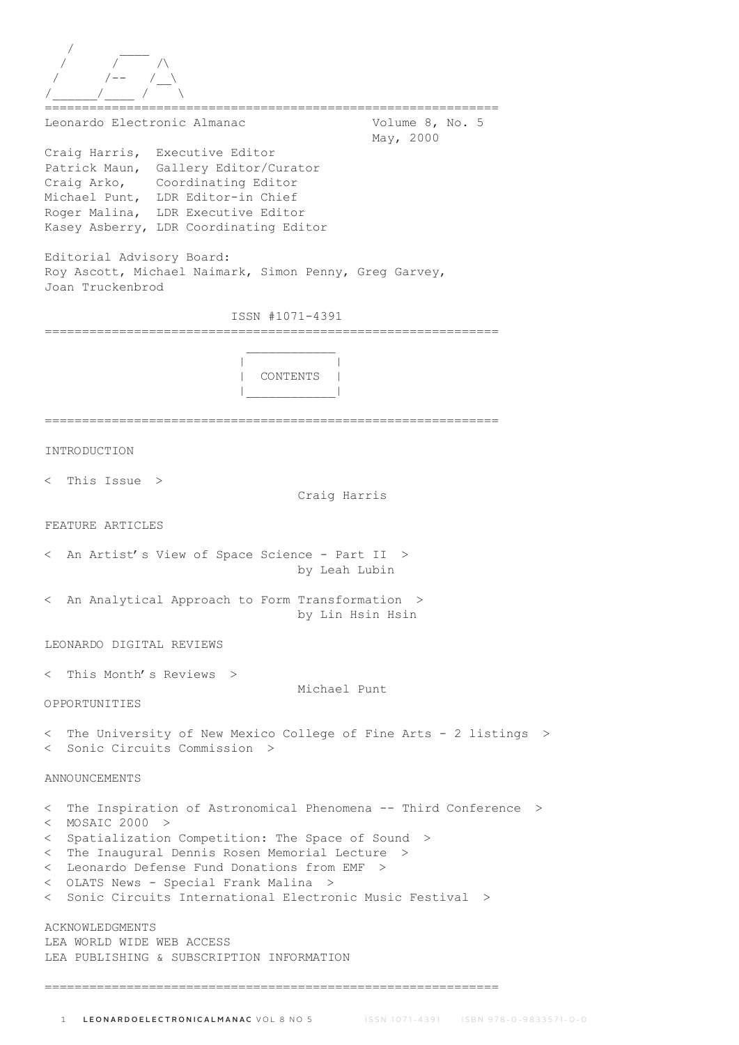| Leonardo Electronic Almanac                                                                                                                                                                                                    | Volume 8, No. 5                                                    |
|--------------------------------------------------------------------------------------------------------------------------------------------------------------------------------------------------------------------------------|--------------------------------------------------------------------|
| Craig Harris, Executive Editor<br>Patrick Maun, Gallery Editor/Curator<br>Craig Arko, Coordinating Editor<br>Michael Punt, LDR Editor-in Chief<br>Roger Malina, LDR Executive Editor<br>Kasey Asberry, LDR Coordinating Editor | May, 2000                                                          |
| Editorial Advisory Board:<br>Roy Ascott, Michael Naimark, Simon Penny, Greg Garvey,<br>Joan Truckenbrod                                                                                                                        |                                                                    |
| ISSN #1071-4391                                                                                                                                                                                                                |                                                                    |
| CONTENTS                                                                                                                                                                                                                       |                                                                    |
| INTRODUCTION                                                                                                                                                                                                                   |                                                                    |
|                                                                                                                                                                                                                                |                                                                    |
| $<$ This Issue $>$                                                                                                                                                                                                             | Craig Harris                                                       |
| FEATURE ARTICLES                                                                                                                                                                                                               |                                                                    |
| < An Artist's View of Space Science - Part II >                                                                                                                                                                                | by Leah Lubin                                                      |
| < An Analytical Approach to Form Transformation >                                                                                                                                                                              | by Lin Hsin Hsin                                                   |
| LEONARDO DIGITAL REVIEWS                                                                                                                                                                                                       |                                                                    |
| < This Month's Reviews >                                                                                                                                                                                                       | Michael Punt                                                       |
| OPPORTUNITIES                                                                                                                                                                                                                  |                                                                    |
| < Sonic Circuits Commission >                                                                                                                                                                                                  | < The University of New Mexico College of Fine Arts - 2 listings > |
| ANNOUNCEMENTS                                                                                                                                                                                                                  |                                                                    |
| $<$ MOSAIC 2000 >                                                                                                                                                                                                              | < The Inspiration of Astronomical Phenomena -- Third Conference >  |
| < Spatialization Competition: The Space of Sound ><br>< The Inaugural Dennis Rosen Memorial Lecture >                                                                                                                          |                                                                    |
| < Leonardo Defense Fund Donations from EMF ><br>< OLATS News - Special Frank Malina >                                                                                                                                          |                                                                    |
| < Sonic Circuits International Electronic Music Festival >                                                                                                                                                                     |                                                                    |
| <b>ACKNOWLEDGMENTS</b><br>LEA WORLD WIDE WEB ACCESS<br>LEA PUBLISHING & SUBSCRIPTION INFORMATION                                                                                                                               |                                                                    |
|                                                                                                                                                                                                                                |                                                                    |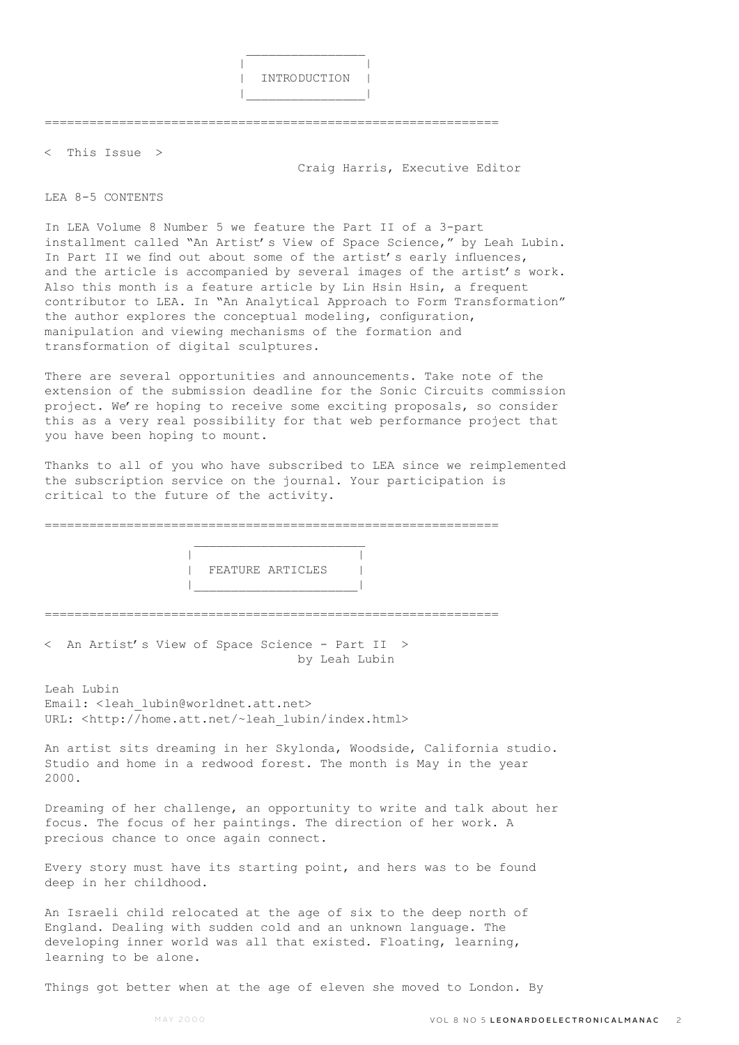

=============================================================

< This Issue >

Craig Harris, Executive Editor

## LEA 8-5 CONTENTS

In LEA Volume 8 Number 5 we feature the Part II of a 3-part installment called "An Artist's View of Space Science," by Leah Lubin. In Part II we find out about some of the artist's early influences, and the article is accompanied by several images of the artist's work. Also this month is a feature article by Lin Hsin Hsin, a frequent contributor to LEA. In "An Analytical Approach to Form Transformation" the author explores the conceptual modeling, configuration, manipulation and viewing mechanisms of the formation and transformation of digital sculptures.

There are several opportunities and announcements. Take note of the extension of the submission deadline for the Sonic Circuits commission project. We're hoping to receive some exciting proposals, so consider this as a very real possibility for that web performance project that you have been hoping to mount.

Thanks to all of you who have subscribed to LEA since we reimplemented the subscription service on the journal. Your participation is critical to the future of the activity.

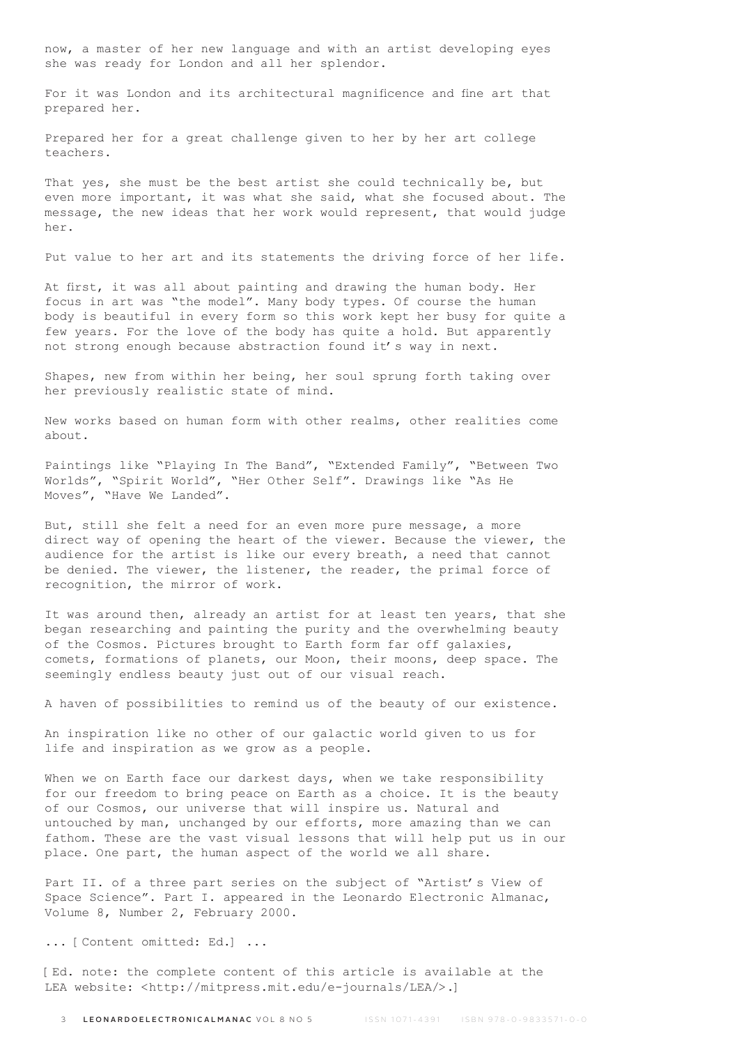now, a master of her new language and with an artist developing eyes she was ready for London and all her splendor.

For it was London and its architectural magnificence and fine art that prepared her.

Prepared her for a great challenge given to her by her art college teachers.

That yes, she must be the best artist she could technically be, but even more important, it was what she said, what she focused about. The message, the new ideas that her work would represent, that would judge her.

Put value to her art and its statements the driving force of her life.

At first, it was all about painting and drawing the human body. Her focus in art was "the model". Many body types. Of course the human body is beautiful in every form so this work kept her busy for quite a few years. For the love of the body has quite a hold. But apparently not strong enough because abstraction found it's way in next.

Shapes, new from within her being, her soul sprung forth taking over her previously realistic state of mind.

New works based on human form with other realms, other realities come about.

Paintings like "Playing In The Band", "Extended Family", "Between Two Worlds", "Spirit World", "Her Other Self". Drawings like "As He Moves", "Have We Landed".

But, still she felt a need for an even more pure message, a more direct way of opening the heart of the viewer. Because the viewer, the audience for the artist is like our every breath, a need that cannot be denied. The viewer, the listener, the reader, the primal force of recognition, the mirror of work.

It was around then, already an artist for at least ten years, that she began researching and painting the purity and the overwhelming beauty of the Cosmos. Pictures brought to Earth form far off galaxies, comets, formations of planets, our Moon, their moons, deep space. The seemingly endless beauty just out of our visual reach.

A haven of possibilities to remind us of the beauty of our existence.

An inspiration like no other of our galactic world given to us for life and inspiration as we grow as a people.

When we on Earth face our darkest days, when we take responsibility for our freedom to bring peace on Earth as a choice. It is the beauty of our Cosmos, our universe that will inspire us. Natural and untouched by man, unchanged by our efforts, more amazing than we can fathom. These are the vast visual lessons that will help put us in our place. One part, the human aspect of the world we all share.

Part II. of a three part series on the subject of "Artist's View of Space Science". Part I. appeared in the Leonardo Electronic Almanac, Volume 8, Number 2, February 2000.

... [Content omitted: Ed.] ...

[Ed. note: the complete content of this article is available at the LEA website: <http://mitpress.mit.edu/e-journals/LEA/>.]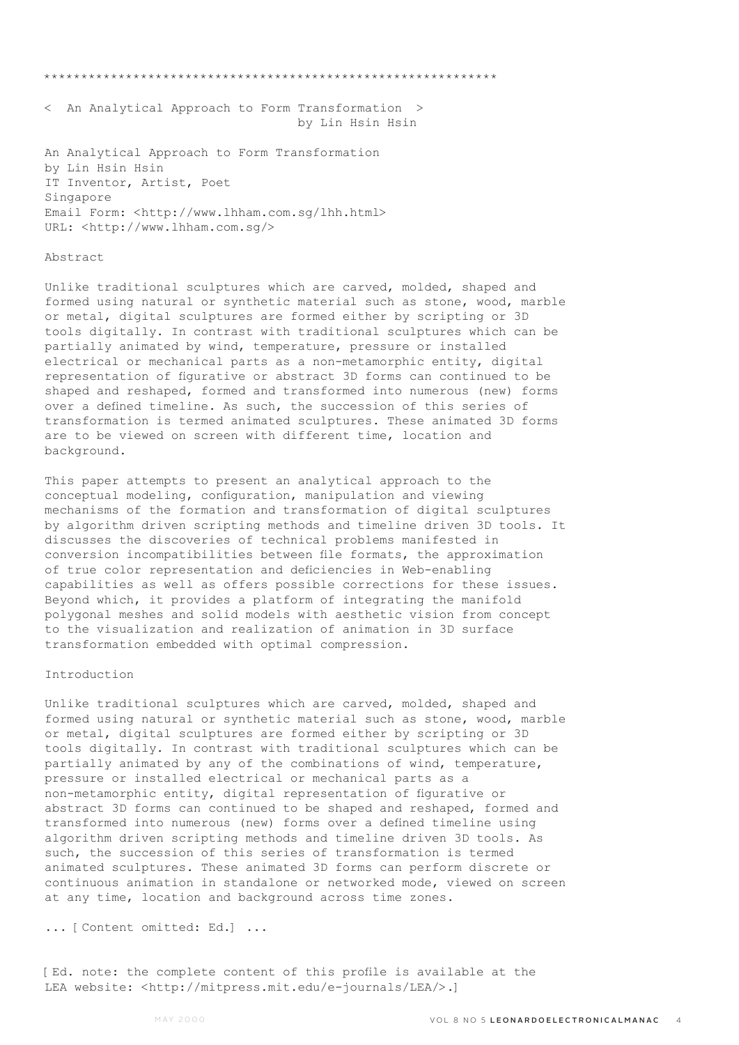\*\*\*\*\*\*\*\*\*\*\*\*\*\*\*\*\*\*\*\*\*\*\*\*\*\*\*\*\*\*\*\*\*\*\*\*\*\*\*\*\*\*\*\*\*\*\*\*\*\*\*\*\*\*\*\*\*\*\*\*\*

< An Analytical Approach to Form Transformation > by Lin Hsin Hsin

An Analytical Approach to Form Transformation by Lin Hsin Hsin IT Inventor, Artist, Poet Singapore Email Form: <http://www.lhham.com.sg/lhh.html> URL: <http://www.lhham.com.sg/>

## Abstract

Unlike traditional sculptures which are carved, molded, shaped and formed using natural or synthetic material such as stone, wood, marble or metal, digital sculptures are formed either by scripting or 3D tools digitally. In contrast with traditional sculptures which can be partially animated by wind, temperature, pressure or installed electrical or mechanical parts as a non-metamorphic entity, digital representation of figurative or abstract 3D forms can continued to be shaped and reshaped, formed and transformed into numerous (new) forms over a defined timeline. As such, the succession of this series of transformation is termed animated sculptures. These animated 3D forms are to be viewed on screen with different time, location and background.

This paper attempts to present an analytical approach to the conceptual modeling, configuration, manipulation and viewing mechanisms of the formation and transformation of digital sculptures by algorithm driven scripting methods and timeline driven 3D tools. It discusses the discoveries of technical problems manifested in conversion incompatibilities between file formats, the approximation of true color representation and deficiencies in Web-enabling capabilities as well as offers possible corrections for these issues. Beyond which, it provides a platform of integrating the manifold polygonal meshes and solid models with aesthetic vision from concept to the visualization and realization of animation in 3D surface transformation embedded with optimal compression.

## Introduction

Unlike traditional sculptures which are carved, molded, shaped and formed using natural or synthetic material such as stone, wood, marble or metal, digital sculptures are formed either by scripting or 3D tools digitally. In contrast with traditional sculptures which can be partially animated by any of the combinations of wind, temperature, pressure or installed electrical or mechanical parts as a non-metamorphic entity, digital representation of figurative or abstract 3D forms can continued to be shaped and reshaped, formed and transformed into numerous (new) forms over a defined timeline using algorithm driven scripting methods and timeline driven 3D tools. As such, the succession of this series of transformation is termed animated sculptures. These animated 3D forms can perform discrete or continuous animation in standalone or networked mode, viewed on screen at any time, location and background across time zones.

... [Content omitted: Ed.] ...

[Ed. note: the complete content of this profile is available at the LEA website: <http://mitpress.mit.edu/e-journals/LEA/>.]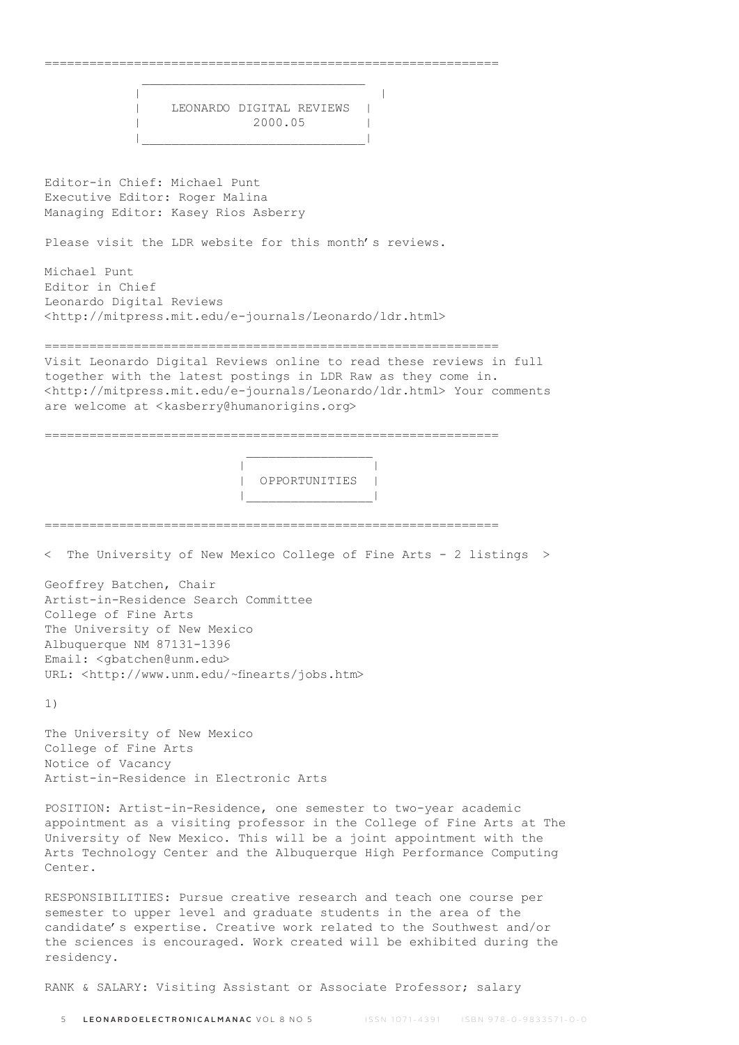$\mathcal{L}_\text{max}$  and  $\mathcal{L}_\text{max}$  and  $\mathcal{L}_\text{max}$  and  $\mathcal{L}_\text{max}$  and  $\mathcal{L}_\text{max}$  | | | LEONARDO DIGITAL REVIEWS | | 2000.05 | |\_\_\_\_\_\_\_\_\_\_\_\_\_\_\_\_\_\_\_\_\_\_\_\_\_\_\_\_\_\_| Editor-in Chief: Michael Punt Executive Editor: Roger Malina Managing Editor: Kasey Rios Asberry Please visit the LDR website for this month's reviews. Michael Punt Editor in Chief Leonardo Digital Reviews <http://mitpress.mit.edu/e-journals/Leonardo/ldr.html> ============================================================= Visit Leonardo Digital Reviews online to read these reviews in full together with the latest postings in LDR Raw as they come in. <http://mitpress.mit.edu/e-journals/Leonardo/ldr.html> Your comments are welcome at <kasberry@humanorigins.org> =============================================================  $\mathcal{L}_\text{max}$  and  $\mathcal{L}_\text{max}$  and  $\mathcal{L}_\text{max}$  and  $\mathcal{L}_\text{max}$  | | | OPPORTUNITIES | |\_\_\_\_\_\_\_\_\_\_\_\_\_\_\_\_\_| ============================================================= < The University of New Mexico College of Fine Arts - 2 listings > Geoffrey Batchen, Chair Artist-in-Residence Search Committee College of Fine Arts The University of New Mexico Albuquerque NM 87131-1396 Email: <gbatchen@unm.edu> URL: <http://www.unm.edu/~finearts/jobs.htm> 1) The University of New Mexico College of Fine Arts Notice of Vacancy Artist-in-Residence in Electronic Arts POSITION: Artist-in-Residence, one semester to two-year academic appointment as a visiting professor in the College of Fine Arts at The University of New Mexico. This will be a joint appointment with the Arts Technology Center and the Albuquerque High Performance Computing Center.

=============================================================

RESPONSIBILITIES: Pursue creative research and teach one course per semester to upper level and graduate students in the area of the candidate's expertise. Creative work related to the Southwest and/or the sciences is encouraged. Work created will be exhibited during the residency.

RANK & SALARY: Visiting Assistant or Associate Professor; salary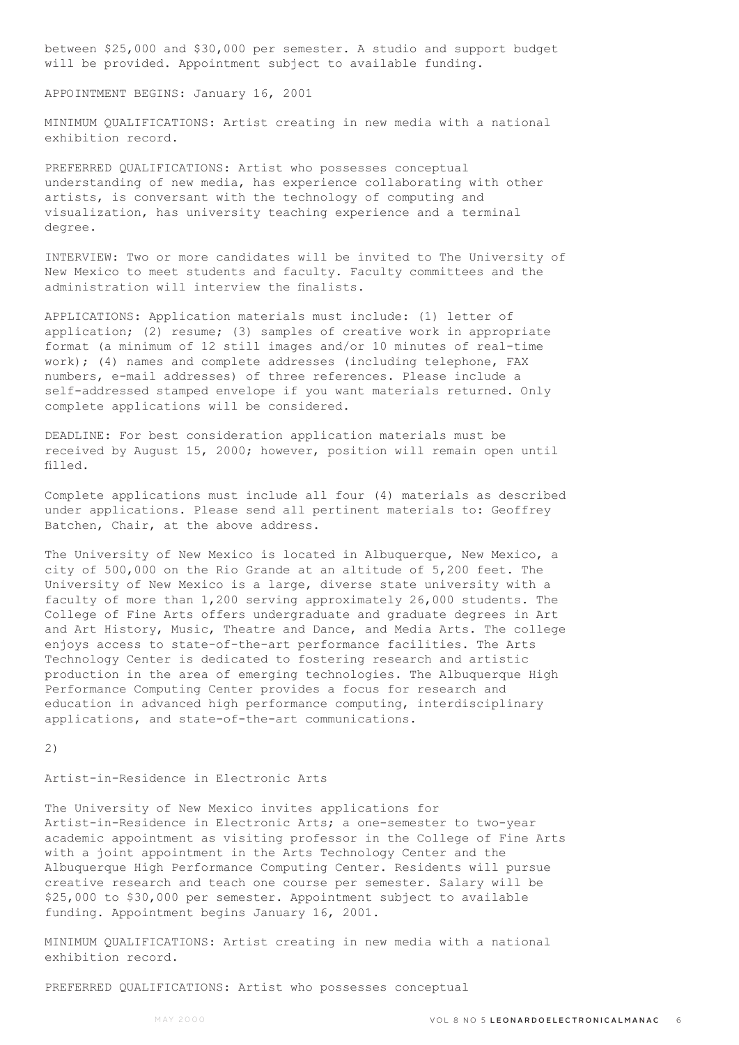between \$25,000 and \$30,000 per semester. A studio and support budget will be provided. Appointment subject to available funding.

APPOINTMENT BEGINS: January 16, 2001

MINIMUM QUALIFICATIONS: Artist creating in new media with a national exhibition record.

PREFERRED QUALIFICATIONS: Artist who possesses conceptual understanding of new media, has experience collaborating with other artists, is conversant with the technology of computing and visualization, has university teaching experience and a terminal degree.

INTERVIEW: Two or more candidates will be invited to The University of New Mexico to meet students and faculty. Faculty committees and the administration will interview the finalists.

APPLICATIONS: Application materials must include: (1) letter of application; (2) resume; (3) samples of creative work in appropriate format (a minimum of 12 still images and/or 10 minutes of real-time work); (4) names and complete addresses (including telephone, FAX numbers, e-mail addresses) of three references. Please include a self-addressed stamped envelope if you want materials returned. Only complete applications will be considered.

DEADLINE: For best consideration application materials must be received by August 15, 2000; however, position will remain open until filled.

Complete applications must include all four (4) materials as described under applications. Please send all pertinent materials to: Geoffrey Batchen, Chair, at the above address.

The University of New Mexico is located in Albuquerque, New Mexico, a city of 500,000 on the Rio Grande at an altitude of 5,200 feet. The University of New Mexico is a large, diverse state university with a faculty of more than 1,200 serving approximately 26,000 students. The College of Fine Arts offers undergraduate and graduate degrees in Art and Art History, Music, Theatre and Dance, and Media Arts. The college enjoys access to state-of-the-art performance facilities. The Arts Technology Center is dedicated to fostering research and artistic production in the area of emerging technologies. The Albuquerque High Performance Computing Center provides a focus for research and education in advanced high performance computing, interdisciplinary applications, and state-of-the-art communications.

2)

Artist-in-Residence in Electronic Arts

The University of New Mexico invites applications for Artist-in-Residence in Electronic Arts; a one-semester to two-year academic appointment as visiting professor in the College of Fine Arts with a joint appointment in the Arts Technology Center and the Albuquerque High Performance Computing Center. Residents will pursue creative research and teach one course per semester. Salary will be \$25,000 to \$30,000 per semester. Appointment subject to available funding. Appointment begins January 16, 2001.

MINIMUM QUALIFICATIONS: Artist creating in new media with a national exhibition record.

PREFERRED QUALIFICATIONS: Artist who possesses conceptual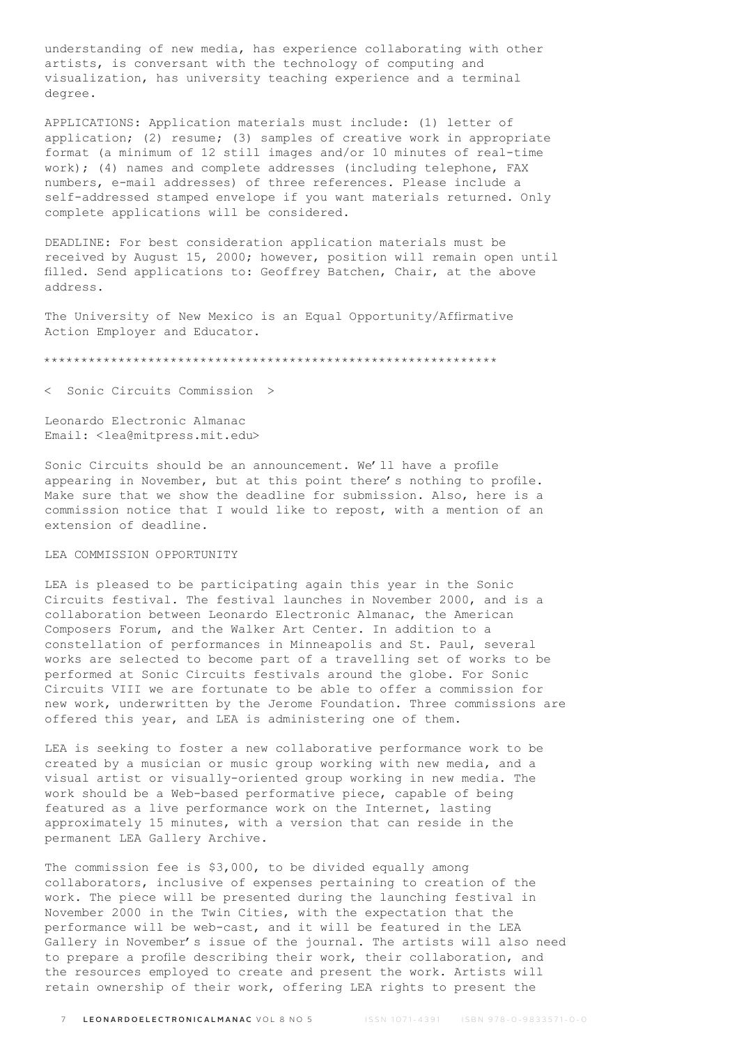understanding of new media, has experience collaborating with other artists, is conversant with the technology of computing and visualization, has university teaching experience and a terminal degree.

APPLICATIONS: Application materials must include: (1) letter of application; (2) resume; (3) samples of creative work in appropriate format (a minimum of 12 still images and/or 10 minutes of real-time work); (4) names and complete addresses (including telephone, FAX numbers, e-mail addresses) of three references. Please include a self-addressed stamped envelope if you want materials returned. Only complete applications will be considered.

DEADLINE: For best consideration application materials must be received by August 15, 2000; however, position will remain open until filled. Send applications to: Geoffrey Batchen, Chair, at the above address.

The University of New Mexico is an Equal Opportunity/Affirmative Action Employer and Educator.

\*\*\*\*\*\*\*\*\*\*\*\*\*\*\*\*\*\*\*\*\*\*\*\*\*\*\*\*\*\*\*\*\*\*\*\*\*\*\*\*\*\*\*\*\*\*\*\*\*\*\*\*\*\*\*\*\*\*\*\*\*

Sonic Circuits Commission >

Leonardo Electronic Almanac Email: <lea@mitpress.mit.edu>

Sonic Circuits should be an announcement. We'll have a profile appearing in November, but at this point there's nothing to profile. Make sure that we show the deadline for submission. Also, here is a commission notice that I would like to repost, with a mention of an extension of deadline.

## LEA COMMISSION OPPORTUNITY

LEA is pleased to be participating again this year in the Sonic Circuits festival. The festival launches in November 2000, and is a collaboration between Leonardo Electronic Almanac, the American Composers Forum, and the Walker Art Center. In addition to a constellation of performances in Minneapolis and St. Paul, several works are selected to become part of a travelling set of works to be performed at Sonic Circuits festivals around the globe. For Sonic Circuits VIII we are fortunate to be able to offer a commission for new work, underwritten by the Jerome Foundation. Three commissions are offered this year, and LEA is administering one of them.

LEA is seeking to foster a new collaborative performance work to be created by a musician or music group working with new media, and a visual artist or visually-oriented group working in new media. The work should be a Web-based performative piece, capable of being featured as a live performance work on the Internet, lasting approximately 15 minutes, with a version that can reside in the permanent LEA Gallery Archive.

The commission fee is \$3,000, to be divided equally among collaborators, inclusive of expenses pertaining to creation of the work. The piece will be presented during the launching festival in November 2000 in the Twin Cities, with the expectation that the performance will be web-cast, and it will be featured in the LEA Gallery in November's issue of the journal. The artists will also need to prepare a profile describing their work, their collaboration, and the resources employed to create and present the work. Artists will retain ownership of their work, offering LEA rights to present the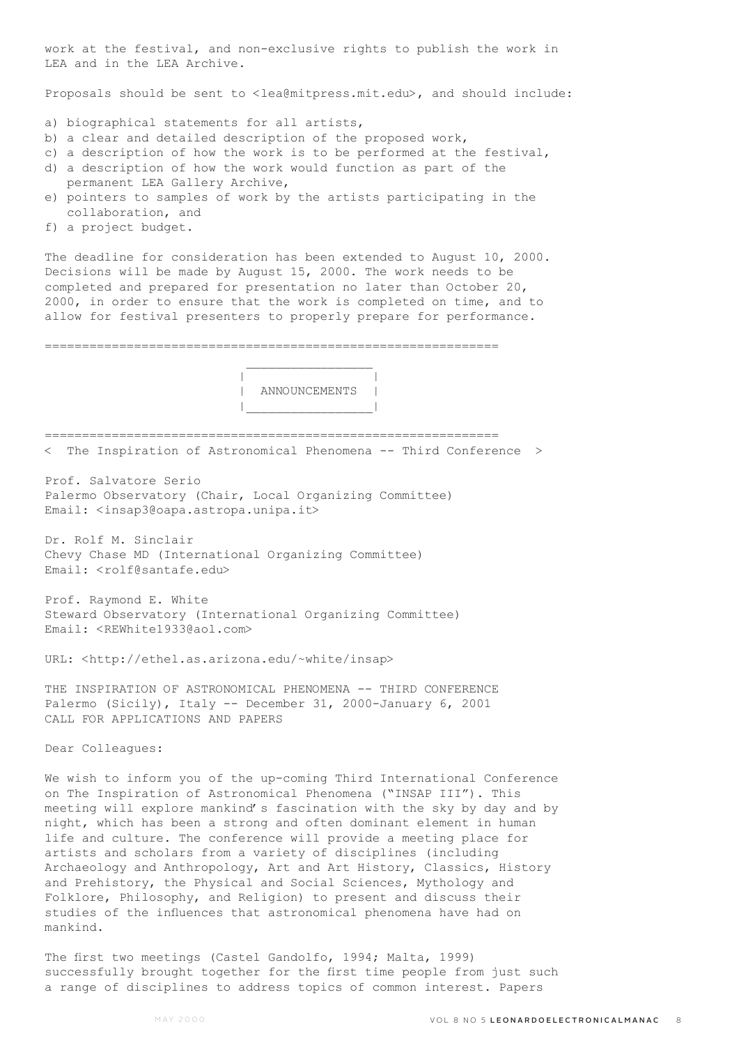work at the festival, and non-exclusive rights to publish the work in LEA and in the LEA Archive.

Proposals should be sent to <lea@mitpress.mit.edu>, and should include:

a) biographical statements for all artists,

 $\mathcal{L}_\text{max}$  and  $\mathcal{L}_\text{max}$  and  $\mathcal{L}_\text{max}$  and  $\mathcal{L}_\text{max}$ 

- b) a clear and detailed description of the proposed work,
- c) a description of how the work is to be performed at the festival,
- d) a description of how the work would function as part of the permanent LEA Gallery Archive,
- e) pointers to samples of work by the artists participating in the collaboration, and
- f) a project budget.

The deadline for consideration has been extended to August 10, 2000. Decisions will be made by August 15, 2000. The work needs to be completed and prepared for presentation no later than October 20, 2000, in order to ensure that the work is completed on time, and to allow for festival presenters to properly prepare for performance.

=============================================================

 | | | ANNOUNCEMENTS | |\_\_\_\_\_\_\_\_\_\_\_\_\_\_\_\_\_|

=============================================================

< The Inspiration of Astronomical Phenomena -- Third Conference >

Prof. Salvatore Serio Palermo Observatory (Chair, Local Organizing Committee) Email: <insap3@oapa.astropa.unipa.it>

Dr. Rolf M. Sinclair Chevy Chase MD (International Organizing Committee) Email: <rolf@santafe.edu>

Prof. Raymond E. White Steward Observatory (International Organizing Committee) Email: <REWhite1933@aol.com>

URL: <http://ethel.as.arizona.edu/~white/insap>

THE INSPIRATION OF ASTRONOMICAL PHENOMENA -- THIRD CONFERENCE Palermo (Sicily), Italy -- December 31, 2000-January 6, 2001 CALL FOR APPLICATIONS AND PAPERS

Dear Colleagues:

We wish to inform you of the up-coming Third International Conference on The Inspiration of Astronomical Phenomena ("INSAP III"). This meeting will explore mankind's fascination with the sky by day and by night, which has been a strong and often dominant element in human life and culture. The conference will provide a meeting place for artists and scholars from a variety of disciplines (including Archaeology and Anthropology, Art and Art History, Classics, History and Prehistory, the Physical and Social Sciences, Mythology and Folklore, Philosophy, and Religion) to present and discuss their studies of the influences that astronomical phenomena have had on mankind.

The first two meetings (Castel Gandolfo, 1994; Malta, 1999) successfully brought together for the first time people from just such a range of disciplines to address topics of common interest. Papers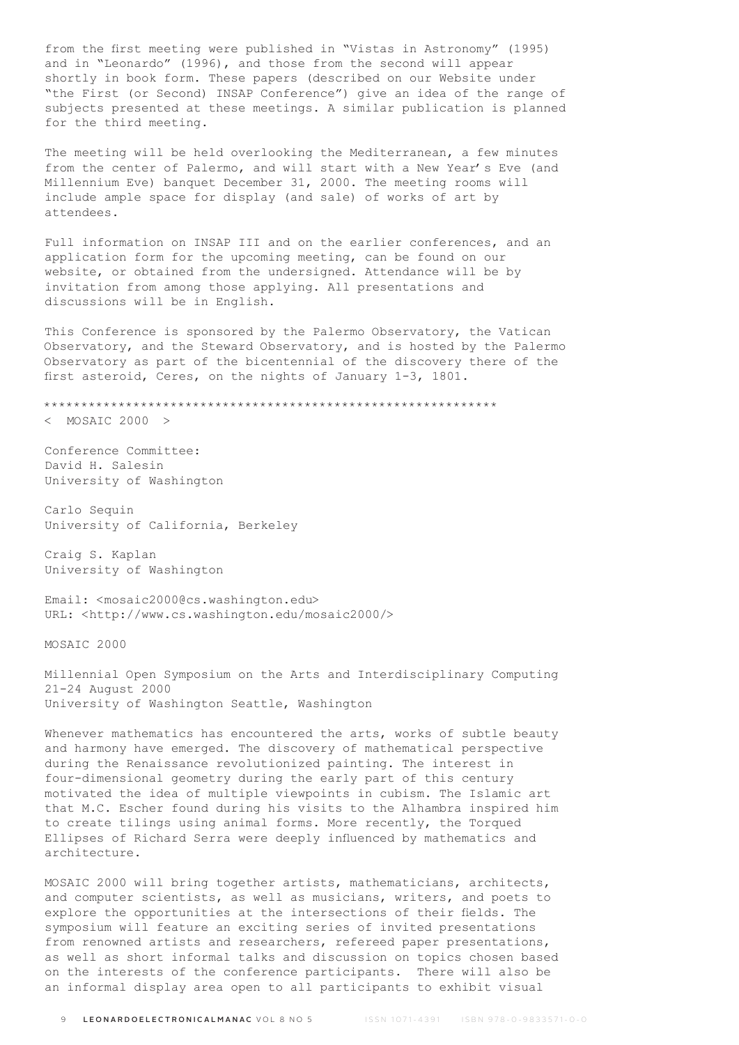from the first meeting were published in "Vistas in Astronomy" (1995) and in "Leonardo" (1996), and those from the second will appear shortly in book form. These papers (described on our Website under "the First (or Second) INSAP Conference") give an idea of the range of subjects presented at these meetings. A similar publication is planned for the third meeting.

The meeting will be held overlooking the Mediterranean, a few minutes from the center of Palermo, and will start with a New Year's Eve (and Millennium Eve) banquet December 31, 2000. The meeting rooms will include ample space for display (and sale) of works of art by attendees.

Full information on INSAP III and on the earlier conferences, and an application form for the upcoming meeting, can be found on our website, or obtained from the undersigned. Attendance will be by invitation from among those applying. All presentations and discussions will be in English.

This Conference is sponsored by the Palermo Observatory, the Vatican Observatory, and the Steward Observatory, and is hosted by the Palermo Observatory as part of the bicentennial of the discovery there of the first asteroid, Ceres, on the nights of January 1-3, 1801.

\*\*\*\*\*\*\*\*\*\*\*\*\*\*\*\*\*\*\*\*\*\*\*\*\*\*\*\*\*\*\*\*\*\*\*\*\*\*\*\*\*\*\*\*\*\*\*\*\*\*\*\*\*\*\*\*\*\*\*\*\*

< MOSAIC 2000 >

Conference Committee: David H. Salesin University of Washington

Carlo Sequin University of California, Berkeley

Craig S. Kaplan University of Washington

Email: <mosaic2000@cs.washington.edu> URL: <http://www.cs.washington.edu/mosaic2000/>

MOSAIC 2000

Millennial Open Symposium on the Arts and Interdisciplinary Computing 21-24 August 2000 University of Washington Seattle, Washington

Whenever mathematics has encountered the arts, works of subtle beauty and harmony have emerged. The discovery of mathematical perspective during the Renaissance revolutionized painting. The interest in four-dimensional geometry during the early part of this century motivated the idea of multiple viewpoints in cubism. The Islamic art that M.C. Escher found during his visits to the Alhambra inspired him to create tilings using animal forms. More recently, the Torqued Ellipses of Richard Serra were deeply influenced by mathematics and architecture.

MOSAIC 2000 will bring together artists, mathematicians, architects, and computer scientists, as well as musicians, writers, and poets to explore the opportunities at the intersections of their fields. The symposium will feature an exciting series of invited presentations from renowned artists and researchers, refereed paper presentations, as well as short informal talks and discussion on topics chosen based on the interests of the conference participants. There will also be an informal display area open to all participants to exhibit visual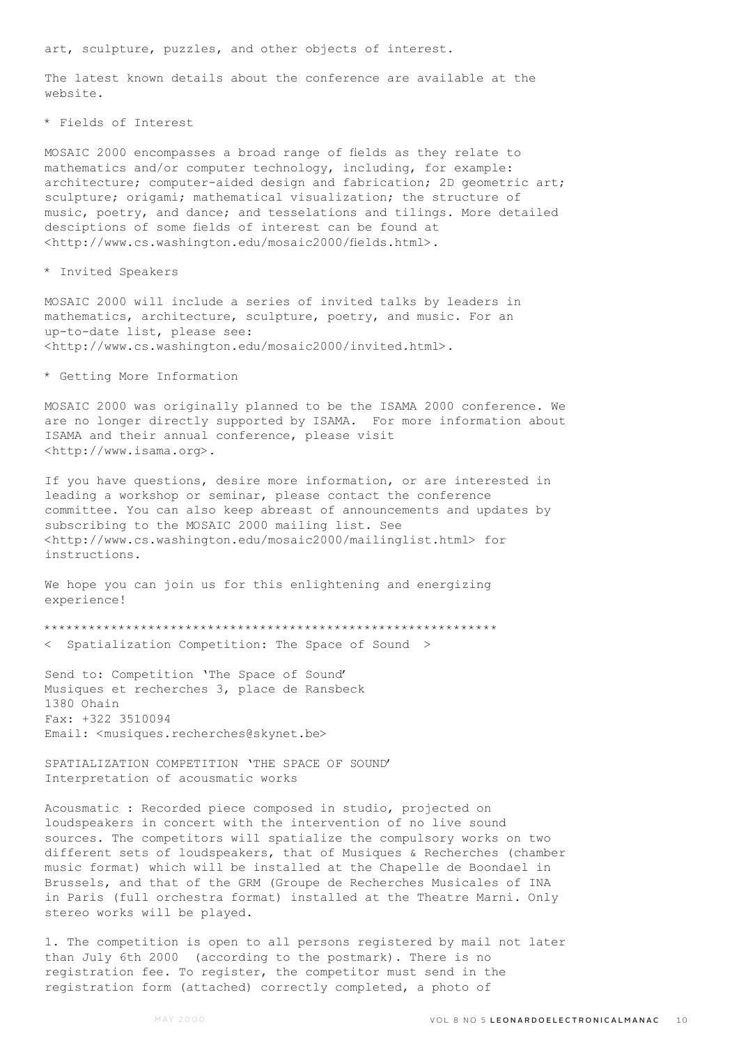art, sculpture, puzzles, and other objects of interest.

The latest known details about the conference are available at the website.

\* Fields of Interest

MOSAIC 2000 encompasses a broad range of fields as they relate to mathematics and/or computer technology, including, for example: architecture; computer-aided design and fabrication; 2D geometric art; sculpture; origami; mathematical visualization; the structure of music, poetry, and dance; and tesselations and tilings. More detailed desciptions of some fields of interest can be found at <http://www.cs.washington.edu/mosaic2000/fields.html>.

\* Invited Speakers

MOSAIC 2000 will include a series of invited talks by leaders in mathematics, architecture, sculpture, poetry, and music. For an up-to-date list, please see: <http://www.cs.washington.edu/mosaic2000/invited.html>.

\* Getting More Information

MOSAIC 2000 was originally planned to be the ISAMA 2000 conference. We are no longer directly supported by ISAMA. For more information about ISAMA and their annual conference, please visit <http://www.isama.org>.

If you have questions, desire more information, or are interested in leading a workshop or seminar, please contact the conference committee. You can also keep abreast of announcements and updates by subscribing to the MOSAIC 2000 mailing list. See <http://www.cs.washington.edu/mosaic2000/mailinglist.html> for instructions.

We hope you can join us for this enlightening and energizing experience!

\*\*\*\*\*\*\*\*\*\*\*\*\*\*\*\*\*\*\*\*\*\*\*\*\*\*\*\*\*\*\*\*\*\*\*\*\*\*\*\*\*\*\*\*\*\*\*\*\*\*\*\*\*\*\*\*\*\*\*\*\*

< Spatialization Competition: The Space of Sound >

Send to: Competition 'The Space of Sound' Musiques et recherches 3, place de Ransbeck 1380 Ohain Fax: +322 3510094 Email: < musiques.recherches@skynet.be>

SPATIALIZATION COMPETITION 'THE SPACE OF SOUND' Interpretation of acousmatic works

Acousmatic : Recorded piece composed in studio, projected on loudspeakers in concert with the intervention of no live sound sources. The competitors will spatialize the compulsory works on two different sets of loudspeakers, that of Musiques & Recherches (chamber music format) which will be installed at the Chapelle de Boondael in Brussels, and that of the GRM (Groupe de Recherches Musicales of INA in Paris (full orchestra format) installed at the Theatre Marni. Only stereo works will be played.

1. The competition is open to all persons registered by mail not later than July 6th 2000 (according to the postmark). There is no registration fee. To register, the competitor must send in the registration form (attached) correctly completed, a photo of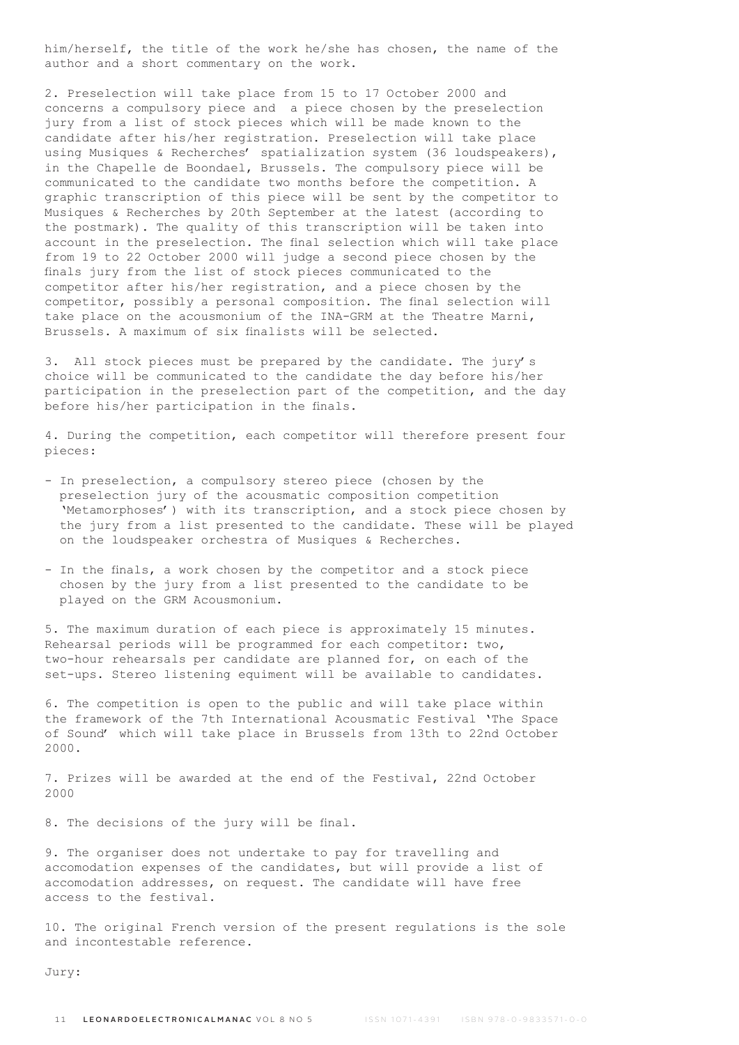him/herself, the title of the work he/she has chosen, the name of the author and a short commentary on the work.

2. Preselection will take place from 15 to 17 October 2000 and concerns a compulsory piece and a piece chosen by the preselection jury from a list of stock pieces which will be made known to the candidate after his/her registration. Preselection will take place using Musiques & Recherches' spatialization system (36 loudspeakers), in the Chapelle de Boondael, Brussels. The compulsory piece will be communicated to the candidate two months before the competition. A graphic transcription of this piece will be sent by the competitor to Musiques & Recherches by 20th September at the latest (according to the postmark). The quality of this transcription will be taken into account in the preselection. The final selection which will take place from 19 to 22 October 2000 will judge a second piece chosen by the finals jury from the list of stock pieces communicated to the competitor after his/her registration, and a piece chosen by the competitor, possibly a personal composition. The final selection will take place on the acousmonium of the INA-GRM at the Theatre Marni, Brussels. A maximum of six finalists will be selected.

3. All stock pieces must be prepared by the candidate. The jury's choice will be communicated to the candidate the day before his/her participation in the preselection part of the competition, and the day before his/her participation in the finals.

4. During the competition, each competitor will therefore present four pieces:

- In preselection, a compulsory stereo piece (chosen by the preselection jury of the acousmatic composition competition 'Metamorphoses') with its transcription, and a stock piece chosen by the jury from a list presented to the candidate. These will be played on the loudspeaker orchestra of Musiques & Recherches.
- In the finals, a work chosen by the competitor and a stock piece chosen by the jury from a list presented to the candidate to be played on the GRM Acousmonium.

5. The maximum duration of each piece is approximately 15 minutes. Rehearsal periods will be programmed for each competitor: two, two-hour rehearsals per candidate are planned for, on each of the set-ups. Stereo listening equiment will be available to candidates.

6. The competition is open to the public and will take place within the framework of the 7th International Acousmatic Festival 'The Space of Sound' which will take place in Brussels from 13th to 22nd October 2000.

7. Prizes will be awarded at the end of the Festival, 22nd October 2000

8. The decisions of the jury will be final.

9. The organiser does not undertake to pay for travelling and accomodation expenses of the candidates, but will provide a list of accomodation addresses, on request. The candidate will have free access to the festival.

10. The original French version of the present regulations is the sole and incontestable reference.

Jury: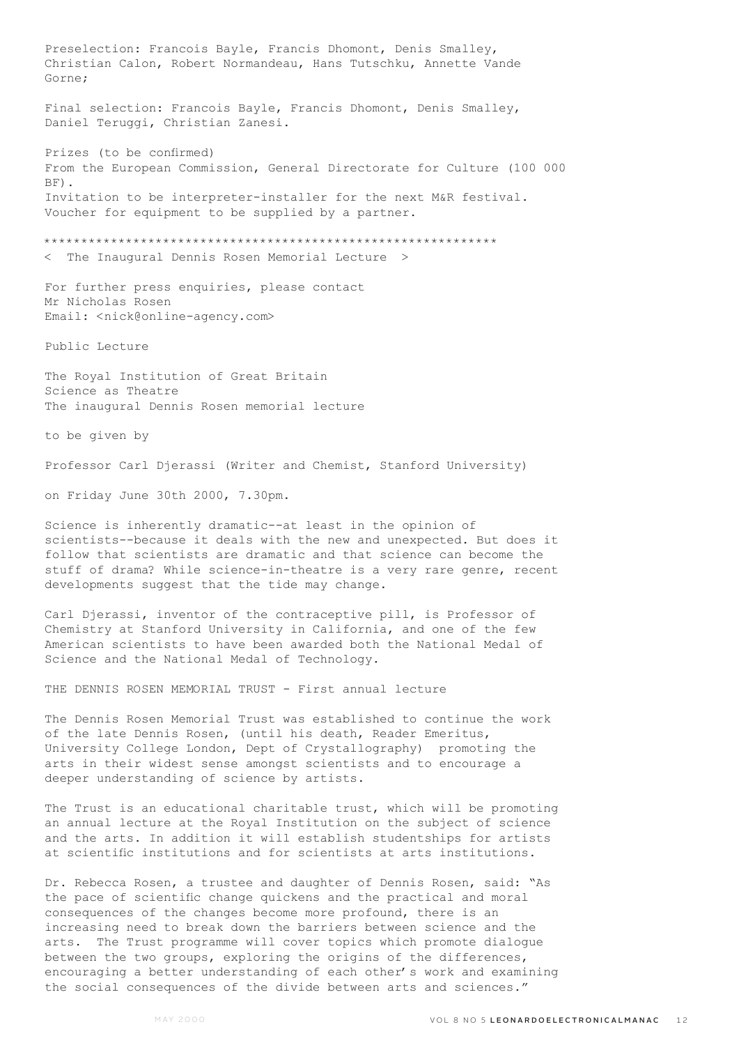Preselection: Francois Bayle, Francis Dhomont, Denis Smalley, Christian Calon, Robert Normandeau, Hans Tutschku, Annette Vande Gorne; Final selection: Francois Bayle, Francis Dhomont, Denis Smalley, Daniel Teruggi, Christian Zanesi. Prizes (to be confirmed) From the European Commission, General Directorate for Culture (100 000 BF). Invitation to be interpreter-installer for the next M&R festival. Voucher for equipment to be supplied by a partner. \*\*\*\*\*\*\*\*\*\*\*\*\*\*\*\*\*\*\*\*\*\*\*\*\*\*\*\*\*\*\*\*\*\*\*\*\*\*\*\*\*\*\*\*\*\*\*\*\*\*\*\*\*\*\*\*\*\*\*\*\* The Inaugural Dennis Rosen Memorial Lecture > For further press enquiries, please contact Mr Nicholas Rosen Email: <nick@online-agency.com> Public Lecture The Royal Institution of Great Britain Science as Theatre The inaugural Dennis Rosen memorial lecture to be given by Professor Carl Djerassi (Writer and Chemist, Stanford University) on Friday June 30th 2000, 7.30pm. Science is inherently dramatic--at least in the opinion of scientists--because it deals with the new and unexpected. But does it follow that scientists are dramatic and that science can become the stuff of drama? While science-in-theatre is a very rare genre, recent developments suggest that the tide may change. Carl Djerassi, inventor of the contraceptive pill, is Professor of Chemistry at Stanford University in California, and one of the few American scientists to have been awarded both the National Medal of Science and the National Medal of Technology. THE DENNIS ROSEN MEMORIAL TRUST - First annual lecture The Dennis Rosen Memorial Trust was established to continue the work of the late Dennis Rosen, (until his death, Reader Emeritus, University College London, Dept of Crystallography) promoting the arts in their widest sense amongst scientists and to encourage a deeper understanding of science by artists. The Trust is an educational charitable trust, which will be promoting an annual lecture at the Royal Institution on the subject of science and the arts. In addition it will establish studentships for artists at scientific institutions and for scientists at arts institutions.

Dr. Rebecca Rosen, a trustee and daughter of Dennis Rosen, said: "As the pace of scientific change quickens and the practical and moral consequences of the changes become more profound, there is an increasing need to break down the barriers between science and the arts. The Trust programme will cover topics which promote dialogue between the two groups, exploring the origins of the differences, encouraging a better understanding of each other's work and examining the social consequences of the divide between arts and sciences."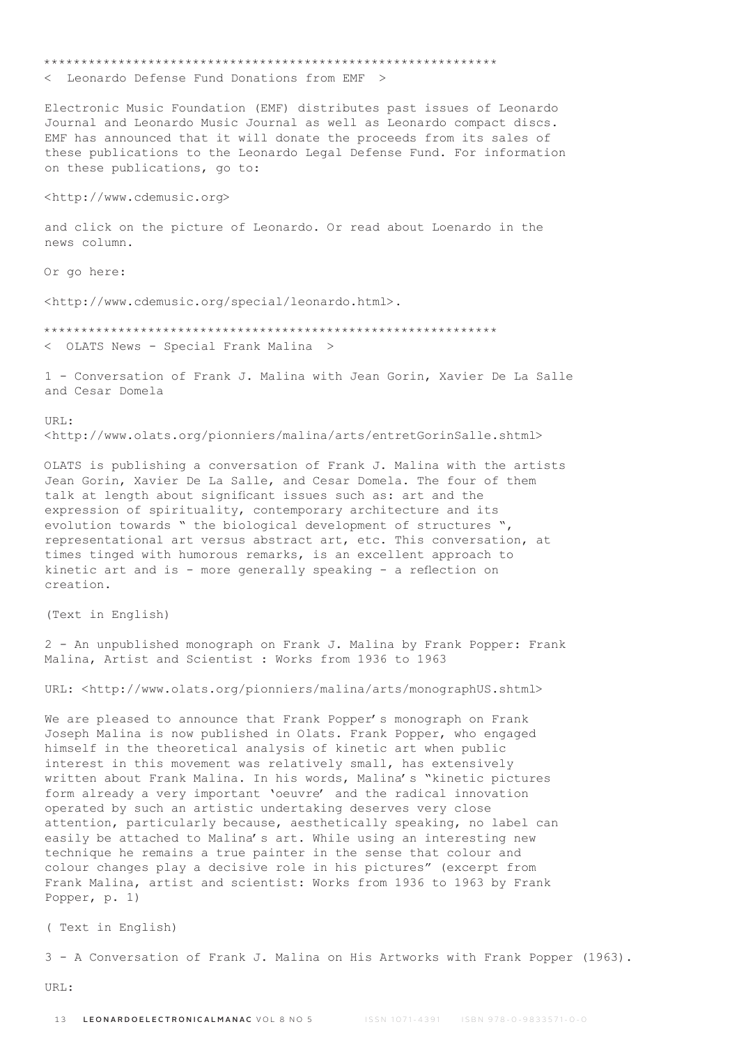\*\*\*\*\*\*\*\*\*\*\*\*\*\*\*\*\*\*\*\*\*\*\*\*\*\*\*\*\*\*\*\*\*\*\*\*\*\*\*\*\*\*\*\*\*\*\*\*\*\*\*\*\*\*\*\*\*\*\*\*\* < Leonardo Defense Fund Donations from EMF > Electronic Music Foundation (EMF) distributes past issues of Leonardo Journal and Leonardo Music Journal as well as Leonardo compact discs. EMF has announced that it will donate the proceeds from its sales of these publications to the Leonardo Legal Defense Fund. For information on these publications, go to: <http://www.cdemusic.org> and click on the picture of Leonardo. Or read about Loenardo in the news column. Or go here: <http://www.cdemusic.org/special/leonardo.html>. \*\*\*\*\*\*\*\*\*\*\*\*\*\*\*\*\*\*\*\*\*\*\*\*\*\*\*\*\*\*\*\*\*\*\*\*\*\*\*\*\*\*\*\*\*\*\*\*\*\*\*\*\*\*\*\*\*\*\*\*\* < OLATS News - Special Frank Malina > 1 - Conversation of Frank J. Malina with Jean Gorin, Xavier De La Salle and Cesar Domela URL: <http://www.olats.org/pionniers/malina/arts/entretGorinSalle.shtml> OLATS is publishing a conversation of Frank J. Malina with the artists Jean Gorin, Xavier De La Salle, and Cesar Domela. The four of them talk at length about significant issues such as: art and the expression of spirituality, contemporary architecture and its evolution towards " the biological development of structures ", representational art versus abstract art, etc. This conversation, at times tinged with humorous remarks, is an excellent approach to kinetic art and is - more generally speaking - a reflection on creation. (Text in English) 2 - An unpublished monograph on Frank J. Malina by Frank Popper: Frank Malina, Artist and Scientist : Works from 1936 to 1963

URL: <http://www.olats.org/pionniers/malina/arts/monographUS.shtml>

We are pleased to announce that Frank Popper's monograph on Frank Joseph Malina is now published in Olats. Frank Popper, who engaged himself in the theoretical analysis of kinetic art when public interest in this movement was relatively small, has extensively written about Frank Malina. In his words, Malina's "kinetic pictures form already a very important 'oeuvre' and the radical innovation operated by such an artistic undertaking deserves very close attention, particularly because, aesthetically speaking, no label can easily be attached to Malina's art. While using an interesting new technique he remains a true painter in the sense that colour and colour changes play a decisive role in his pictures" (excerpt from Frank Malina, artist and scientist: Works from 1936 to 1963 by Frank Popper, p. 1)

( Text in English)

3 - A Conversation of Frank J. Malina on His Artworks with Frank Popper (1963).

URL: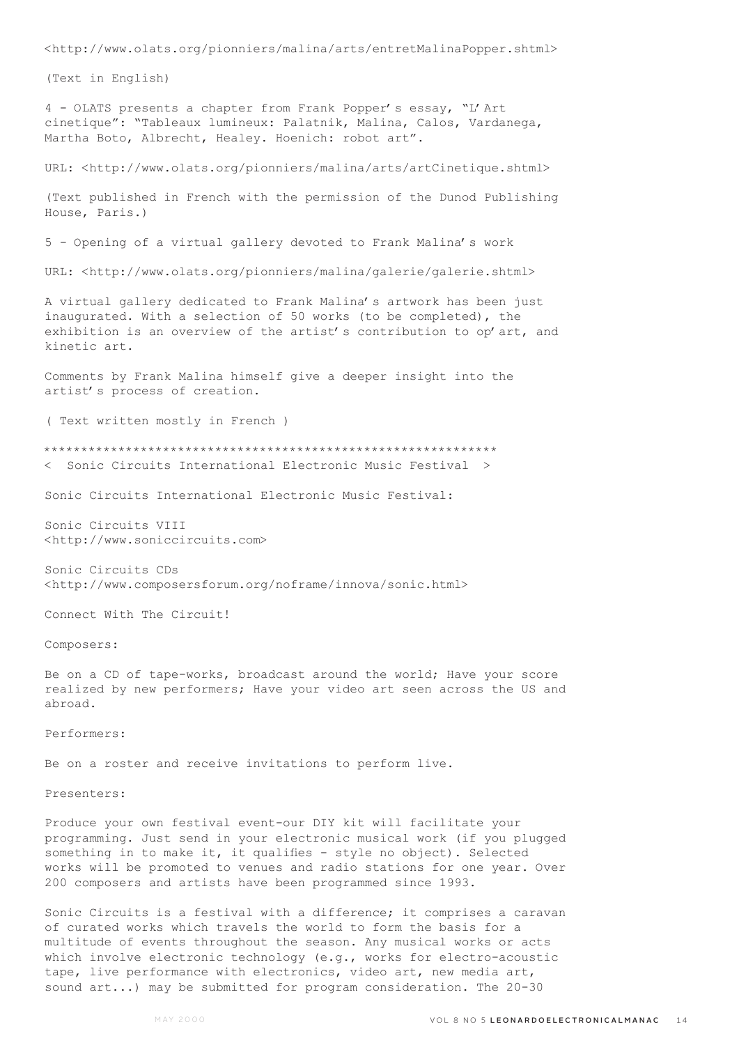<http://www.olats.org/pionniers/malina/arts/entretMalinaPopper.shtml>

(Text in English)

4 - OLATS presents a chapter from Frank Popper's essay, "L'Art cinetique": "Tableaux lumineux: Palatnik, Malina, Calos, Vardanega, Martha Boto, Albrecht, Healey. Hoenich: robot art".

URL: <http://www.olats.org/pionniers/malina/arts/artCinetique.shtml>

(Text published in French with the permission of the Dunod Publishing House, Paris.)

5 - Opening of a virtual gallery devoted to Frank Malina's work

URL: <http://www.olats.org/pionniers/malina/galerie/galerie.shtml>

A virtual gallery dedicated to Frank Malina's artwork has been just inaugurated. With a selection of 50 works (to be completed), the exhibition is an overview of the artist's contribution to op' art, and kinetic art.

Comments by Frank Malina himself give a deeper insight into the artist's process of creation.

( Text written mostly in French )

\*\*\*\*\*\*\*\*\*\*\*\*\*\*\*\*\*\*\*\*\*\*\*\*\*\*\*\*\*\*\*\*\*\*\*\*\*\*\*\*\*\*\*\*\*\*\*\*\*\*\*\*\*\*\*\*\*\*\*\*\* < Sonic Circuits International Electronic Music Festival >

Sonic Circuits International Electronic Music Festival:

Sonic Circuits VIII <http://www.soniccircuits.com>

Sonic Circuits CDs <http://www.composersforum.org/noframe/innova/sonic.html>

Connect With The Circuit!

Composers:

Be on a CD of tape-works, broadcast around the world; Have your score realized by new performers; Have your video art seen across the US and abroad.

Performers:

Be on a roster and receive invitations to perform live.

Presenters:

Produce your own festival event-our DIY kit will facilitate your programming. Just send in your electronic musical work (if you plugged something in to make it, it qualifies - style no object). Selected works will be promoted to venues and radio stations for one year. Over 200 composers and artists have been programmed since 1993.

Sonic Circuits is a festival with a difference; it comprises a caravan of curated works which travels the world to form the basis for a multitude of events throughout the season. Any musical works or acts which involve electronic technology (e.g., works for electro-acoustic tape, live performance with electronics, video art, new media art, sound art...) may be submitted for program consideration. The 20-30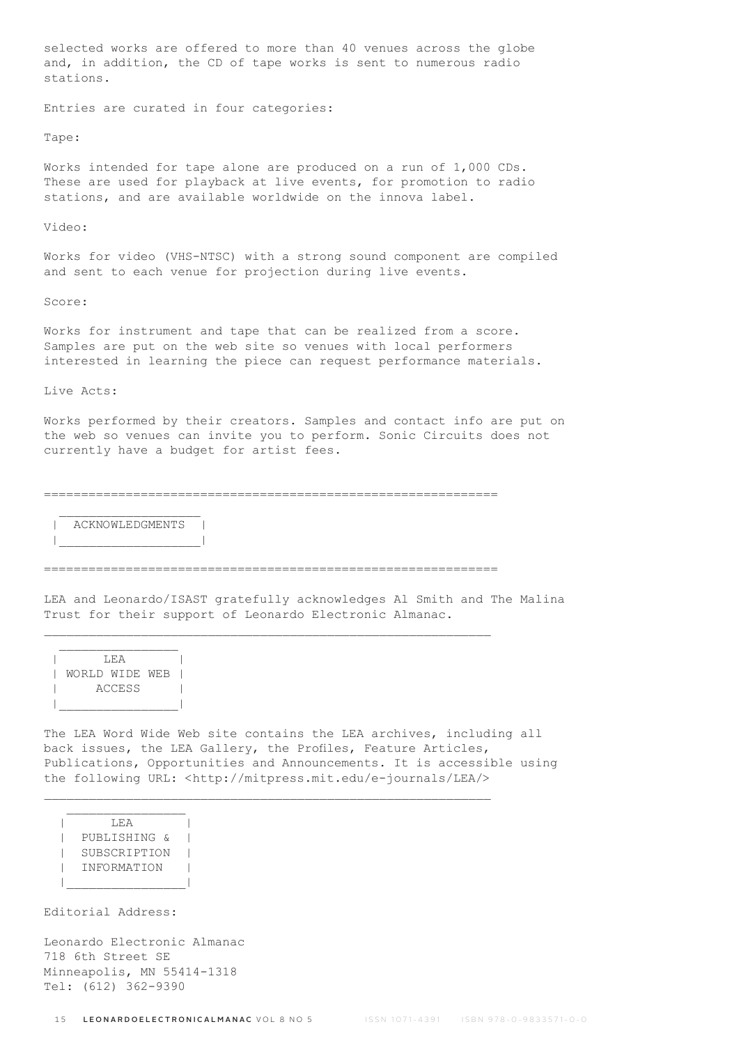selected works are offered to more than 40 venues across the globe and, in addition, the CD of tape works is sent to numerous radio stations.

Entries are curated in four categories:

Tape:

Works intended for tape alone are produced on a run of 1,000 CDs. These are used for playback at live events, for promotion to radio stations, and are available worldwide on the innova label.

Video:

Works for video (VHS-NTSC) with a strong sound component are compiled and sent to each venue for projection during live events.

Score:

Works for instrument and tape that can be realized from a score. Samples are put on the web site so venues with local performers interested in learning the piece can request performance materials.

Live Acts:

Works performed by their creators. Samples and contact info are put on the web so venues can invite you to perform. Sonic Circuits does not currently have a budget for artist fees.

=============================================================

 $\mathcal{L}=\frac{1}{2}$  , where  $\mathcal{L}=\frac{1}{2}$  , where  $\mathcal{L}=\frac{1}{2}$ ACKNOWLEDGMENTS | |\_\_\_\_\_\_\_\_\_\_\_\_\_\_\_\_\_\_\_|

=============================================================

 $\_$  , and the set of the set of the set of the set of the set of the set of the set of the set of the set of the set of the set of the set of the set of the set of the set of the set of the set of the set of the set of th

 $\_$  , and the set of the set of the set of the set of the set of the set of the set of the set of the set of the set of the set of the set of the set of the set of the set of the set of the set of the set of the set of th

LEA and Leonardo/ISAST gratefully acknowledges Al Smith and The Malina Trust for their support of Leonardo Electronic Almanac.

| T.F.A          |  |  |  |
|----------------|--|--|--|
| WORLD WIDE WEB |  |  |  |
| <b>ACCESS</b>  |  |  |  |
|                |  |  |  |

The LEA Word Wide Web site contains the LEA archives, including all back issues, the LEA Gallery, the Profiles, Feature Articles, Publications, Opportunities and Announcements. It is accessible using the following URL: <http://mitpress.mit.edu/e-journals/LEA/>

 | LEA | | PUBLISHING & | | SUBSCRIPTION | | INFORMATION | |\_\_\_\_\_\_\_\_\_\_\_\_\_\_\_\_|

 $\mathcal{L}=\mathcal{L}=\mathcal{L}=\mathcal{L}=\mathcal{L}=\mathcal{L}=\mathcal{L}=\mathcal{L}=\mathcal{L}=\mathcal{L}=\mathcal{L}=\mathcal{L}=\mathcal{L}=\mathcal{L}=\mathcal{L}=\mathcal{L}=\mathcal{L}=\mathcal{L}=\mathcal{L}=\mathcal{L}=\mathcal{L}=\mathcal{L}=\mathcal{L}=\mathcal{L}=\mathcal{L}=\mathcal{L}=\mathcal{L}=\mathcal{L}=\mathcal{L}=\mathcal{L}=\mathcal{L}=\mathcal{L}=\mathcal{L}=\mathcal{L}=\mathcal{L}=\mathcal{L}=\mathcal{$ 

Editorial Address:

Leonardo Electronic Almanac 718 6th Street SE Minneapolis, MN 55414-1318 Tel: (612) 362-9390